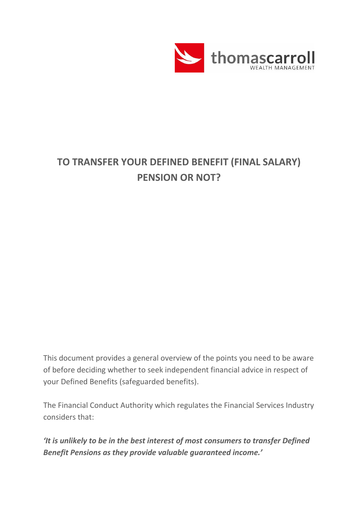

## **TO TRANSFER YOUR DEFINED BENEFIT (FINAL SALARY) PENSION OR NOT?**

This document provides a general overview of the points you need to be aware of before deciding whether to seek independent financial advice in respect of your Defined Benefits (safeguarded benefits).

The Financial Conduct Authority which regulates the Financial Services Industry considers that:

*'It is unlikely to be in the best interest of most consumers to transfer Defined Benefit Pensions as they provide valuable guaranteed income.'*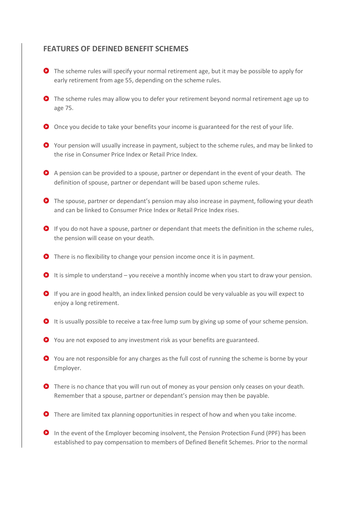## **FEATURES OF DEFINED BENEFIT SCHEMES**

- **O** The scheme rules will specify your normal retirement age, but it may be possible to apply for early retirement from age 55, depending on the scheme rules.
- The scheme rules may allow you to defer your retirement beyond normal retirement age up to age 75.
- O Once you decide to take your benefits your income is guaranteed for the rest of your life.
- Your pension will usually increase in payment, subject to the scheme rules, and may be linked to the rise in Consumer Price Index or Retail Price Index.
- A pension can be provided to a spouse, partner or dependant in the event of your death. The definition of spouse, partner or dependant will be based upon scheme rules.
- The spouse, partner or dependant's pension may also increase in payment, following your death and can be linked to Consumer Price Index or Retail Price Index rises.
- **O** If you do not have a spouse, partner or dependant that meets the definition in the scheme rules, the pension will cease on your death.
- **O** There is no flexibility to change your pension income once it is in payment.
- $\bullet$  It is simple to understand you receive a monthly income when you start to draw your pension.
- If you are in good health, an index linked pension could be very valuable as you will expect to enjoy a long retirement.
- It is usually possible to receive a tax-free lump sum by giving up some of your scheme pension.
- You are not exposed to any investment risk as your benefits are guaranteed.
- You are not responsible for any charges as the full cost of running the scheme is borne by your Employer.
- **O** There is no chance that you will run out of money as your pension only ceases on your death. Remember that a spouse, partner or dependant's pension may then be payable.
- **O** There are limited tax planning opportunities in respect of how and when you take income.
- **O** In the event of the Employer becoming insolvent, the Pension Protection Fund (PPF) has been established to pay compensation to members of Defined Benefit Schemes. Prior to the normal